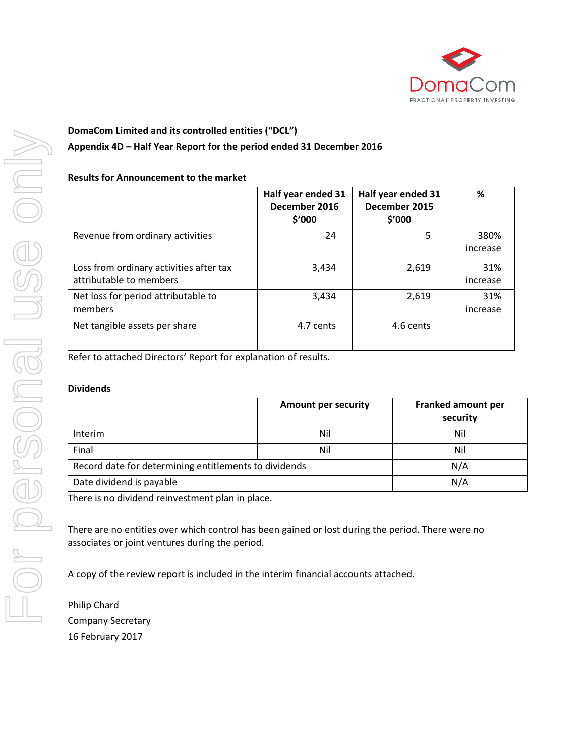

# **DomaCom Limited and its controlled entities ("DCL") Appendix 4D – Half Year Report for the period ended 31 December 2016**

#### **Results for Announcement to the market**

|                                                                    | Half year ended 31<br>December 2016<br>\$'000 | Half year ended 31<br>December 2015<br>\$′000 | %                |
|--------------------------------------------------------------------|-----------------------------------------------|-----------------------------------------------|------------------|
| Revenue from ordinary activities                                   | 24                                            | 5                                             | 380%<br>increase |
| Loss from ordinary activities after tax<br>attributable to members | 3,434                                         | 2,619                                         | 31%<br>increase  |
| Net loss for period attributable to<br>members                     | 3,434                                         | 2,619                                         | 31%<br>increase  |
| Net tangible assets per share                                      | 4.7 cents                                     | 4.6 cents                                     |                  |

Refer to attached Directors' Report for explanation of results.

#### **Dividends**

|                                                       | <b>Amount per security</b> | Franked amount per<br>security |
|-------------------------------------------------------|----------------------------|--------------------------------|
| <b>Interim</b>                                        | Nil                        | Nil                            |
| Final                                                 | Nil                        | Nil                            |
| Record date for determining entitlements to dividends |                            | N/A                            |
| Date dividend is payable                              |                            | N/A                            |

There is no dividend reinvestment plan in place.

There are no entities over which control has been gained or lost during the period. There were no associates or joint ventures during the period.

A copy of the review report is included in the interim financial accounts attached.

Philip Chard Company Secretary 16 February 2017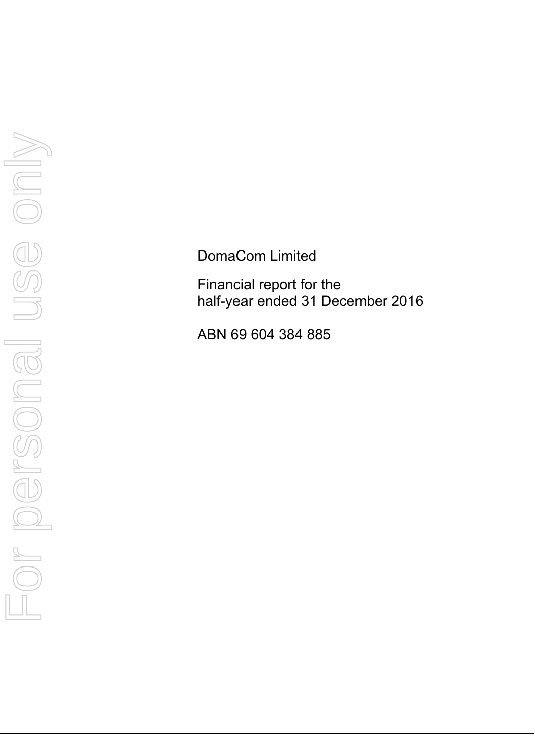DomaCom Limited

Financial report for the half-year ended 31 December 2016

ABN 69 604 384 885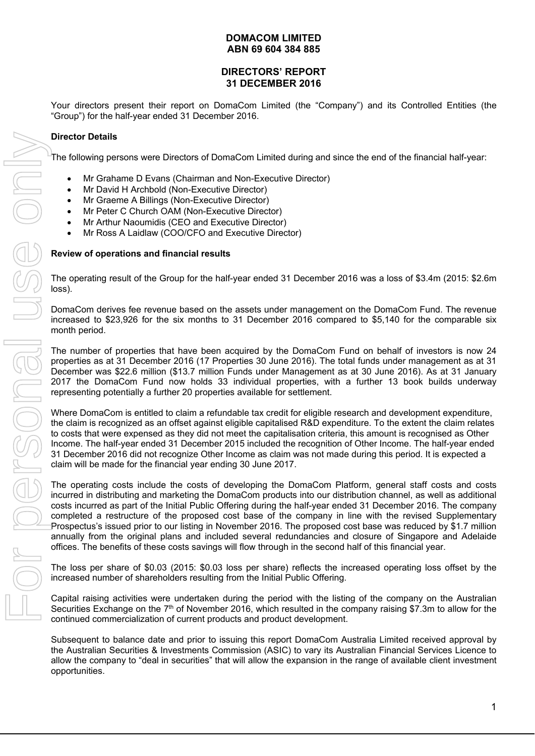### **DIRECTORS' REPORT 31 DECEMBER 2016**

Your directors present their report on DomaCom Limited (the "Company") and its Controlled Entities (the "Group") for the half-year ended 31 December 2016.

### **Director Details**

The following persons were Directors of DomaCom Limited during and since the end of the financial half-year:

- Mr Grahame D Evans (Chairman and Non-Executive Director)
- Mr David H Archbold (Non-Executive Director)
- Mr Graeme A Billings (Non-Executive Director)
- Mr Peter C Church OAM (Non-Executive Director)
- Mr Arthur Naoumidis (CEO and Executive Director)
- Mr Ross A Laidlaw (COO/CFO and Executive Director)

#### **Review of operations and financial results**

The operating result of the Group for the half-year ended 31 December 2016 was a loss of \$3.4m (2015: \$2.6m loss).

DomaCom derives fee revenue based on the assets under management on the DomaCom Fund. The revenue increased to \$23,926 for the six months to 31 December 2016 compared to \$5,140 for the comparable six month period.

The number of properties that have been acquired by the DomaCom Fund on behalf of investors is now 24 properties as at 31 December 2016 (17 Properties 30 June 2016). The total funds under management as at 31 December was \$22.6 million (\$13.7 million Funds under Management as at 30 June 2016). As at 31 January 2017 the DomaCom Fund now holds 33 individual properties, with a further 13 book builds underway representing potentially a further 20 properties available for settlement.

Where DomaCom is entitled to claim a refundable tax credit for eligible research and development expenditure, the claim is recognized as an offset against eligible capitalised R&D expenditure. To the extent the claim relates to costs that were expensed as they did not meet the capitalisation criteria, this amount is recognised as Other Income. The half-year ended 31 December 2015 included the recognition of Other Income. The half-year ended 31 December 2016 did not recognize Other Income as claim was not made during this period. It is expected a claim will be made for the financial year ending 30 June 2017.

The operating costs include the costs of developing the DomaCom Platform, general staff costs and costs incurred in distributing and marketing the DomaCom products into our distribution channel, as well as additional costs incurred as part of the Initial Public Offering during the half-year ended 31 December 2016. The company completed a restructure of the proposed cost base of the company in line with the revised Supplementary Prospectus's issued prior to our listing in November 2016. The proposed cost base was reduced by \$1.7 million annually from the original plans and included several redundancies and closure of Singapore and Adelaide offices. The benefits of these costs savings will flow through in the second half of this financial year.

The loss per share of \$0.03 (2015: \$0.03 loss per share) reflects the increased operating loss offset by the increased number of shareholders resulting from the Initial Public Offering.

Capital raising activities were undertaken during the period with the listing of the company on the Australian Securities Exchange on the  $7<sup>th</sup>$  of November 2016, which resulted in the company raising \$7.3m to allow for the continued commercialization of current products and product development.

Subsequent to balance date and prior to issuing this report DomaCom Australia Limited received approval by the Australian Securities & Investments Commission (ASIC) to vary its Australian Financial Services Licence to allow the company to "deal in securities" that will allow the expansion in the range of available client investment opportunities.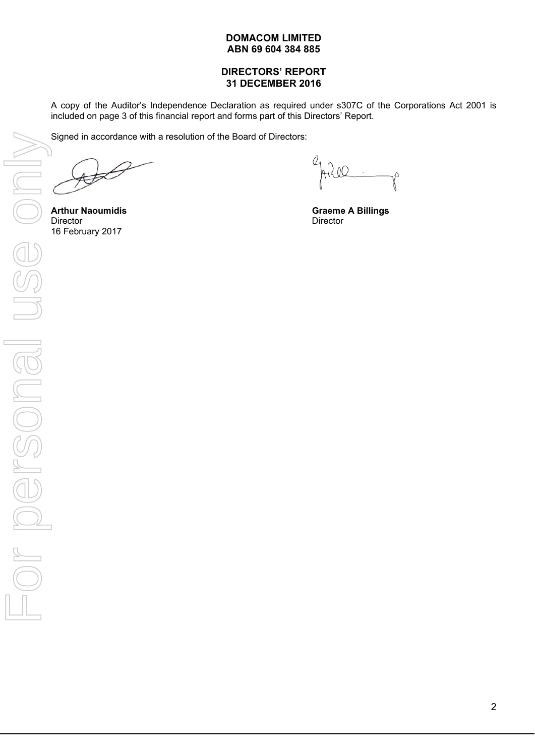### **DIRECTORS' REPORT 31 DECEMBER 2016**

A copy of the Auditor's Independence Declaration as required under s307C of the Corporations Act 2001 is included on page 3 of this financial report and forms part of this Directors' Report.

Signed in accordance with a resolution of the Board of Directors:

**Arthur Naoumidis Graeme A Billings**<br>
Director<br>
Director<br>
Director Director Director Director Director Director Director Director Director Director

<u>II:IO</u> V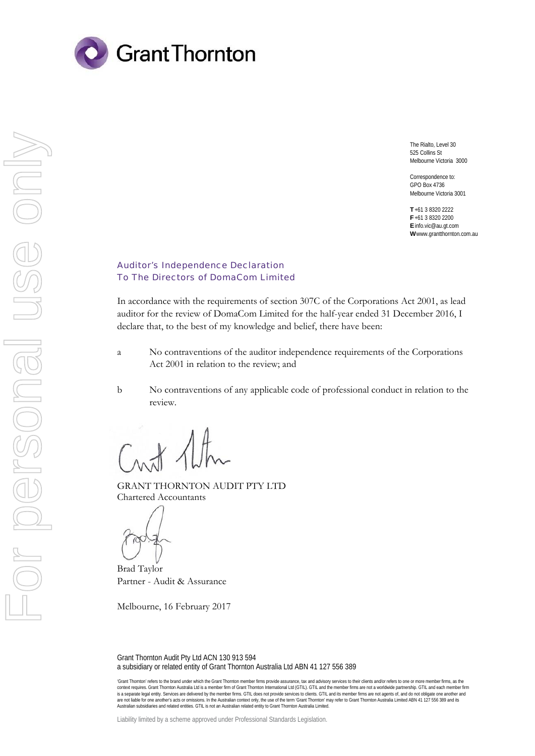

The Rialto, Level 30 525 Collins St Melbourne Victoria 3000

Correspondence to: GPO Box 4736 Melbourne Victoria 3001

**T** +61 3 8320 2222 **F** +61 3 8320 2200 **E** info.vic@au.gt.com **W** www.grantthornton.com.au

#### Auditor's Independence Declaration To The Directors of DomaCom Limited

In accordance with the requirements of section 307C of the Corporations Act 2001, as lead auditor for the review of DomaCom Limited for the half-year ended 31 December 2016, I declare that, to the best of my knowledge and belief, there have been:

- a No contraventions of the auditor independence requirements of the Corporations Act 2001 in relation to the review; and
- b No contraventions of any applicable code of professional conduct in relation to the review.

GRANT THORNTON AUDIT PTY LTD Chartered Accountants

Brad Taylor Partner - Audit & Assurance

Melbourne, 16 February 2017

Grant Thornton Audit Pty Ltd ACN 130 913 594 a subsidiary or related entity of Grant Thornton Australia Ltd ABN 41 127 556 389

'Grant Thornton' refers to the brand under which the Grant Thornton member firms provide assurance, tax and advisory services to their clients and/or refers to one or more member firms, as the context requires. Grant Thornton Australia Ltd is a member firm of Grant Thomton International Ltd (GTIL). GTIL and the member firms are not a worldwide partnership. GTIL and each member firm<br>is a separate legal entity. Se are not liable for one another's acts or omissions. In the Australian context only, the use of the term 'Grant Thornton' may refer to Grant Thornton Australia Limited ABN 41 127 556 389 and its<br>Australian subsidiaries and

Liability limited by a scheme approved under Professional Standards Legislation.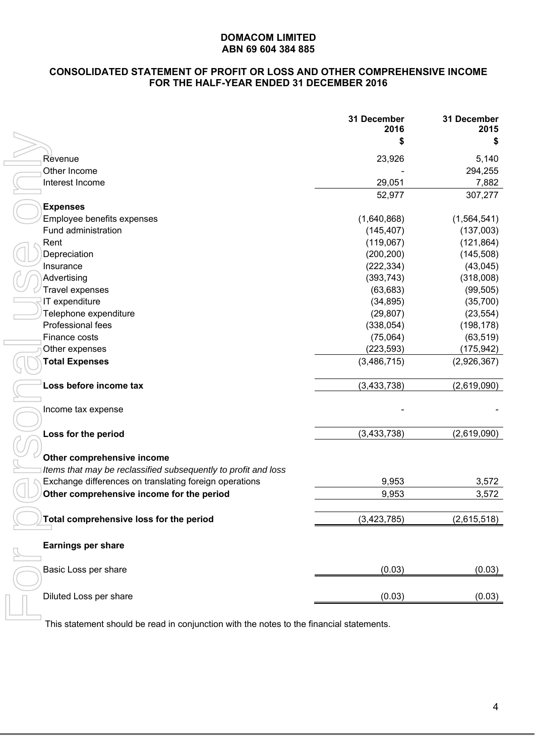# **CONSOLIDATED STATEMENT OF PROFIT OR LOSS AND OTHER COMPREHENSIVE INCOME FOR THE HALF-YEAR ENDED 31 DECEMBER 2016**

|                                                                | 31 December<br>2016 | 31 December<br>2015 |
|----------------------------------------------------------------|---------------------|---------------------|
|                                                                | \$                  | \$                  |
| Revenue                                                        | 23,926              | 5,140               |
| Other Income                                                   |                     | 294,255             |
| Interest Income                                                | 29,051              | 7,882               |
|                                                                | 52,977              | 307,277             |
| <b>Expenses</b>                                                |                     |                     |
| Employee benefits expenses                                     | (1,640,868)         | (1, 564, 541)       |
| Fund administration                                            | (145, 407)          | (137,003)           |
| Rent                                                           | (119,067)           | (121, 864)          |
| Depreciation                                                   | (200, 200)          | (145, 508)          |
| Insurance                                                      | (222, 334)          | (43, 045)           |
| Advertising                                                    | (393, 743)          | (318,008)           |
| Travel expenses                                                | (63, 683)           | (99, 505)           |
| IT expenditure                                                 | (34, 895)           | (35,700)            |
| Telephone expenditure                                          | (29, 807)           | (23, 554)           |
| Professional fees                                              | (338, 054)          | (198, 178)          |
| Finance costs                                                  | (75,064)            | (63, 519)           |
| Other expenses                                                 | (223, 593)          | (175, 942)          |
| <b>Total Expenses</b>                                          | (3,486,715)         | (2,926,367)         |
| Loss before income tax                                         | (3, 433, 738)       | (2,619,090)         |
| Income tax expense                                             |                     |                     |
| Loss for the period                                            | (3,433,738)         | (2,619,090)         |
| Other comprehensive income                                     |                     |                     |
| Items that may be reclassified subsequently to profit and loss |                     |                     |
| Exchange differences on translating foreign operations         | 9,953               | 3,572               |
| Other comprehensive income for the period                      | 9,953               | 3,572               |
|                                                                |                     |                     |
| Total comprehensive loss for the period                        | (3, 423, 785)       | (2,615,518)         |
| Earnings per share                                             |                     |                     |
| Basic Loss per share                                           | (0.03)              | (0.03)              |
| Diluted Loss per share                                         | (0.03)              | (0.03)              |
|                                                                |                     |                     |

This statement should be read in conjunction with the notes to the financial statements.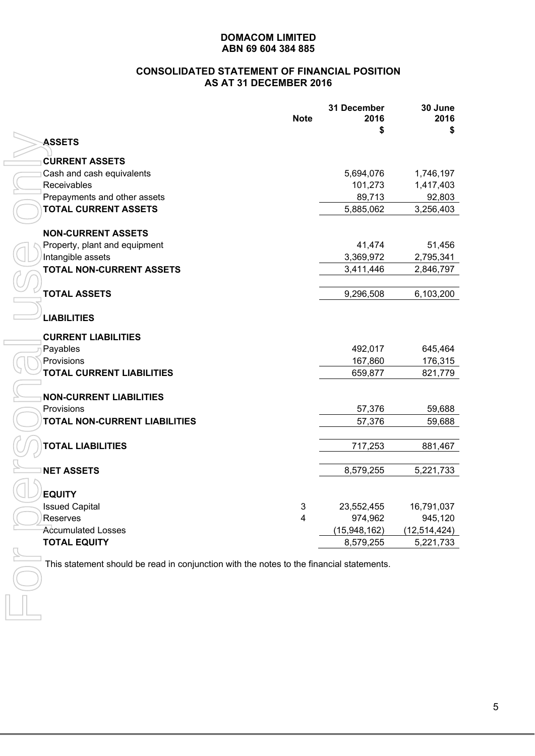### **CONSOLIDATED STATEMENT OF FINANCIAL POSITION AS AT 31 DECEMBER 2016**

| <b>Note</b>                                                                              | 31 December<br>2016 | 30 June<br>2016 |
|------------------------------------------------------------------------------------------|---------------------|-----------------|
| <b>ASSETS</b>                                                                            | S                   | \$              |
| <b>CURRENT ASSETS</b>                                                                    |                     |                 |
| Cash and cash equivalents                                                                | 5,694,076           | 1,746,197       |
| Receivables                                                                              | 101,273             | 1,417,403       |
| Prepayments and other assets                                                             | 89,713              | 92,803          |
| <b>TOTAL CURRENT ASSETS</b>                                                              | 5,885,062           | 3,256,403       |
|                                                                                          |                     |                 |
| <b>NON-CURRENT ASSETS</b>                                                                |                     |                 |
| Property, plant and equipment                                                            | 41,474              | 51,456          |
| Intangible assets<br><b>TOTAL NON-CURRENT ASSETS</b>                                     | 3,369,972           | 2,795,341       |
|                                                                                          | 3,411,446           | 2,846,797       |
| <b>TOTAL ASSETS</b>                                                                      |                     |                 |
|                                                                                          | 9,296,508           | 6,103,200       |
| <b>LIABILITIES</b>                                                                       |                     |                 |
| <b>CURRENT LIABILITIES</b>                                                               |                     |                 |
| Payables                                                                                 | 492,017             | 645,464         |
| Provisions                                                                               | 167,860             | 176,315         |
| <b>TOTAL CURRENT LIABILITIES</b>                                                         | 659,877             | 821,779         |
| <b>NON-CURRENT LIABILITIES</b>                                                           |                     |                 |
| Provisions                                                                               | 57,376              | 59,688          |
| TOTAL NON-CURRENT LIABILITIES                                                            | 57,376              | 59,688          |
| <b>TOTAL LIABILITIES</b>                                                                 |                     |                 |
|                                                                                          | 717,253             | 881,467         |
| <b>NET ASSETS</b>                                                                        | 8,579,255           | 5,221,733       |
| <b>EQUITY</b>                                                                            |                     |                 |
| <b>Issued Capital</b><br>3                                                               | 23,552,455          | 16,791,037      |
| Reserves<br>4                                                                            | 974,962             | 945,120         |
| <b>Accumulated Losses</b>                                                                | (15,948,162)        | (12, 514, 424)  |
| <b>TOTAL EQUITY</b>                                                                      | 8,579,255           | 5,221,733       |
|                                                                                          |                     |                 |
| This statement should be read in conjunction with the notes to the financial statements. |                     |                 |
|                                                                                          |                     |                 |
|                                                                                          |                     |                 |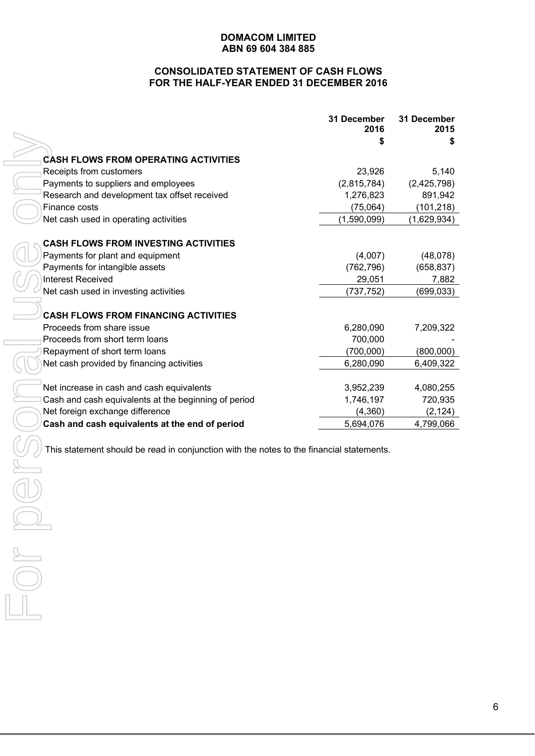# **CONSOLIDATED STATEMENT OF CASH FLOWS FOR THE HALF-YEAR ENDED 31 DECEMBER 2016**

|                                                                                          | 31 December<br>2016 | 31 December<br>2015 |
|------------------------------------------------------------------------------------------|---------------------|---------------------|
|                                                                                          |                     | S                   |
| <b>CASH FLOWS FROM OPERATING ACTIVITIES</b>                                              |                     |                     |
| Receipts from customers                                                                  | 23,926              | 5,140               |
| Payments to suppliers and employees                                                      | (2,815,784)         | (2,425,798)         |
| Research and development tax offset received                                             | 1,276,823           | 891,942             |
| Finance costs                                                                            | (75,064)            | (101, 218)          |
| Net cash used in operating activities                                                    | (1,590,099)         | (1,629,934)         |
|                                                                                          |                     |                     |
| <b>CASH FLOWS FROM INVESTING ACTIVITIES</b>                                              |                     |                     |
| Payments for plant and equipment                                                         | (4,007)             | (48,078)            |
| Payments for intangible assets                                                           | (762, 796)          | (658, 837)          |
| <b>Interest Received</b>                                                                 | 29,051              | 7,882               |
| Net cash used in investing activities                                                    | (737, 752)          | (699, 033)          |
| <b>CASH FLOWS FROM FINANCING ACTIVITIES</b>                                              |                     |                     |
| Proceeds from share issue                                                                | 6,280,090           | 7,209,322           |
| Proceeds from short term loans                                                           | 700,000             |                     |
| Repayment of short term loans                                                            | (700,000)           | (800,000)           |
| Net cash provided by financing activities                                                | 6,280,090           | 6,409,322           |
|                                                                                          |                     |                     |
| Net increase in cash and cash equivalents                                                | 3,952,239           | 4,080,255           |
| Cash and cash equivalents at the beginning of period                                     | 1,746,197           | 720,935             |
| Net foreign exchange difference                                                          | (4,360)             | (2, 124)            |
| Cash and cash equivalents at the end of period                                           | 5,694,076           | 4,799,066           |
|                                                                                          |                     |                     |
| This statement should be read in conjunction with the notes to the financial statements. |                     |                     |
|                                                                                          |                     |                     |
|                                                                                          |                     |                     |
|                                                                                          |                     |                     |
|                                                                                          |                     |                     |
|                                                                                          |                     |                     |
|                                                                                          |                     |                     |
| $\frac{1}{\sqrt{1-\frac{1}{2}}}$                                                         |                     |                     |
|                                                                                          |                     |                     |
|                                                                                          |                     |                     |
|                                                                                          |                     |                     |
|                                                                                          |                     |                     |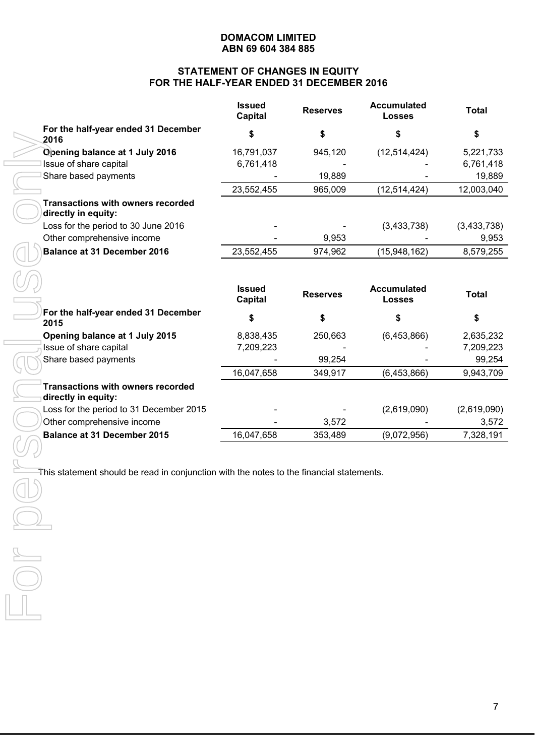# **STATEMENT OF CHANGES IN EQUITY FOR THE HALF-YEAR ENDED 31 DECEMBER 2016**

|                                                                                          | <b>Issued</b><br><b>Capital</b> | <b>Reserves</b> | <b>Accumulated</b><br><b>Losses</b> | <b>Total</b> |
|------------------------------------------------------------------------------------------|---------------------------------|-----------------|-------------------------------------|--------------|
| For the half-year ended 31 December<br>2016                                              | \$                              | \$              | \$                                  | \$           |
| Opening balance at 1 July 2016                                                           | 16,791,037                      | 945,120         | (12, 514, 424)                      | 5,221,733    |
| Issue of share capital                                                                   | 6,761,418                       |                 |                                     | 6,761,418    |
| Share based payments                                                                     |                                 | 19,889          |                                     | 19,889       |
|                                                                                          | 23,552,455                      | 965,009         | (12, 514, 424)                      | 12,003,040   |
| <b>Transactions with owners recorded</b><br>directly in equity:                          |                                 |                 |                                     |              |
| Loss for the period to 30 June 2016                                                      |                                 |                 | (3,433,738)                         | (3,433,738)  |
| Other comprehensive income                                                               |                                 | 9,953           |                                     | 9,953        |
| <b>Balance at 31 December 2016</b>                                                       | 23,552,455                      | 974,962         | (15,948,162)                        | 8,579,255    |
|                                                                                          |                                 |                 |                                     |              |
|                                                                                          | <b>Issued</b><br><b>Capital</b> | <b>Reserves</b> | <b>Accumulated</b><br><b>Losses</b> | <b>Total</b> |
| For the half-year ended 31 December<br>2015                                              | \$                              | \$              | \$                                  | \$           |
| Opening balance at 1 July 2015                                                           | 8,838,435                       | 250,663         | (6,453,866)                         | 2,635,232    |
| Issue of share capital                                                                   | 7,209,223                       |                 |                                     | 7,209,223    |
| Share based payments                                                                     |                                 | 99,254          |                                     | 99,254       |
|                                                                                          | 16,047,658                      | 349,917         | (6,453,866)                         | 9,943,709    |
| <b>Transactions with owners recorded</b><br>directly in equity:                          |                                 |                 |                                     |              |
| Loss for the period to 31 December 2015                                                  |                                 |                 | (2,619,090)                         | (2,619,090)  |
| Other comprehensive income                                                               |                                 | 3,572           |                                     | 3,572        |
| <b>Balance at 31 December 2015</b>                                                       | 16,047,658                      | 353,489         | (9,072,956)                         | 7,328,191    |
|                                                                                          |                                 |                 |                                     |              |
| This statement should be read in conjunction with the notes to the financial statements. |                                 |                 |                                     |              |
|                                                                                          |                                 |                 |                                     |              |
|                                                                                          |                                 |                 |                                     |              |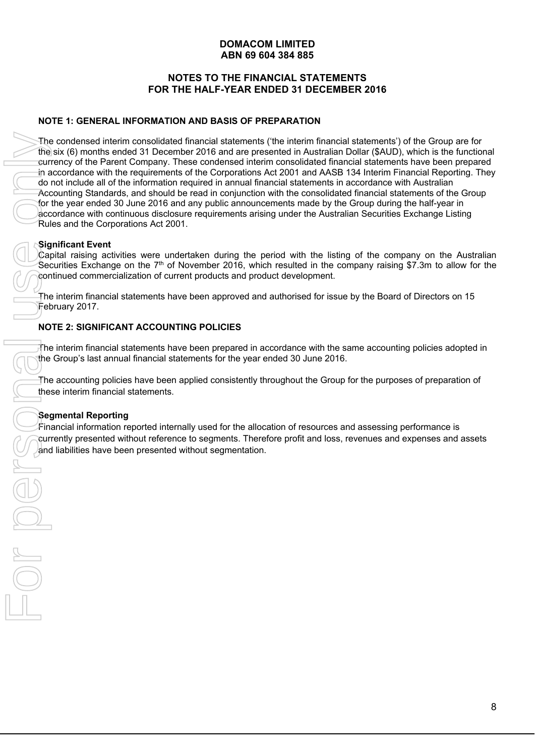# **NOTES TO THE FINANCIAL STATEMENTS FOR THE HALF-YEAR ENDED 31 DECEMBER 2016**

# **NOTE 1: GENERAL INFORMATION AND BASIS OF PREPARATION**

The condensed interim consolidated financial statements ('the interim financial statements') of the Group are for the six (6) months ended 31 December 2016 and are presented in Australian Dollar (\$AUD), which is the functional currency of the Parent Company. These condensed interim consolidated financial statements have been prepared in accordance with the requirements of the Corporations Act 2001 and AASB 134 Interim Financial Reporting. They do not include all of the information required in annual financial statements in accordance with Australian Accounting Standards, and should be read in conjunction with the consolidated financial statements of the Group for the year ended 30 June 2016 and any public announcements made by the Group during the half-year in accordance with continuous disclosure requirements arising under the Australian Securities Exchange Listing Rules and the Corporations Act 2001. The condensed interim consolidated financial statements the six (6) months ended 31 December 2016 and are presented for the proportions of the Corporations of the Corporation of the Corporation of the Corporation of the Co

# **Significant Event**

Capital raising activities were undertaken during the period with the listing of the company on the Australian Securities Exchange on the  $7<sup>th</sup>$  of November 2016, which resulted in the company raising \$7.3m to allow for the continued commercialization of current products and product development.

The interim financial statements have been approved and authorised for issue by the Board of Directors on 15 February 2017.

# **NOTE 2: SIGNIFICANT ACCOUNTING POLICIES**

The interim financial statements have been prepared in accordance with the same accounting policies adopted in the Group's last annual financial statements for the year ended 30 June 2016.

The accounting policies have been applied consistently throughout the Group for the purposes of preparation of these interim financial statements.

# **Segmental Reporting**

Financial information reported internally used for the allocation of resources and assessing performance is currently presented without reference to segments. Therefore profit and loss, revenues and expenses and assets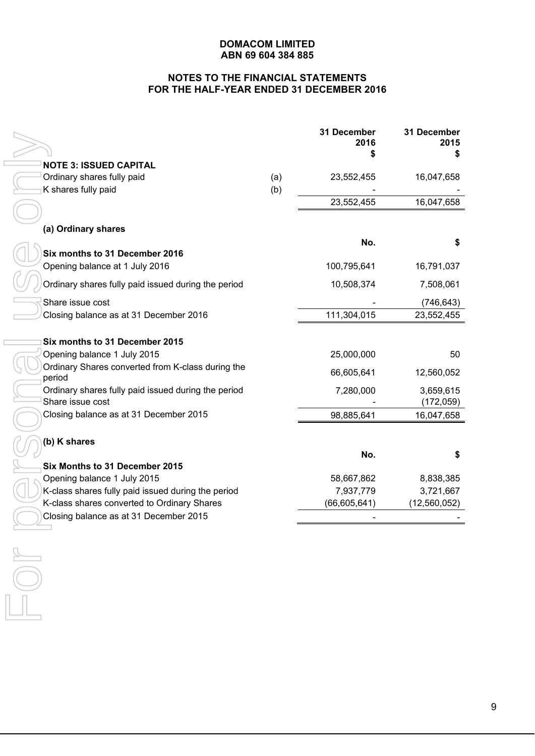# **NOTES TO THE FINANCIAL STATEMENTS FOR THE HALF-YEAR ENDED 31 DECEMBER 2016**

|                                                             |            | 31 December<br>2016 | 31 December<br>2015<br>S |
|-------------------------------------------------------------|------------|---------------------|--------------------------|
| <b>NOTE 3: ISSUED CAPITAL</b>                               |            |                     |                          |
| Ordinary shares fully paid<br>K shares fully paid           | (a)<br>(b) | 23,552,455          | 16,047,658               |
|                                                             |            | 23,552,455          | 16,047,658               |
|                                                             |            |                     |                          |
| (a) Ordinary shares                                         |            |                     |                          |
|                                                             |            | No.                 | \$                       |
| Six months to 31 December 2016                              |            |                     |                          |
| Opening balance at 1 July 2016                              |            | 100,795,641         | 16,791,037               |
| Ordinary shares fully paid issued during the period         |            | 10,508,374          | 7,508,061                |
| Share issue cost                                            |            |                     | (746, 643)               |
| Closing balance as at 31 December 2016                      |            | 111,304,015         | 23,552,455               |
|                                                             |            |                     |                          |
| Six months to 31 December 2015                              |            |                     |                          |
| Opening balance 1 July 2015                                 |            | 25,000,000          | 50                       |
| Ordinary Shares converted from K-class during the<br>period |            | 66,605,641          | 12,560,052               |
| Ordinary shares fully paid issued during the period         |            | 7,280,000           | 3,659,615                |
| Share issue cost                                            |            |                     | (172, 059)               |
| Closing balance as at 31 December 2015                      |            | 98,885,641          | 16,047,658               |
| (b) K shares                                                |            |                     |                          |
|                                                             |            | No.                 | \$                       |
| Six Months to 31 December 2015                              |            |                     |                          |
| Opening balance 1 July 2015                                 |            | 58,667,862          | 8,838,385                |
| K-class shares fully paid issued during the period          |            | 7,937,779           | 3,721,667                |
| K-class shares converted to Ordinary Shares                 |            | (66, 605, 641)      | (12,560,052)             |
| Closing balance as at 31 December 2015                      |            |                     |                          |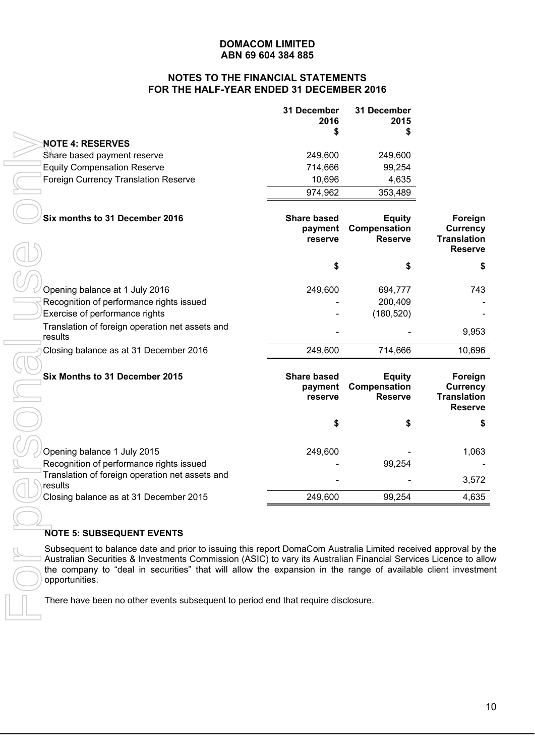### **NOTES TO THE FINANCIAL STATEMENTS FOR THE HALF-YEAR ENDED 31 DECEMBER 2016**

|                                             | 31 December<br>2016<br>S | 31 December<br>2015 |
|---------------------------------------------|--------------------------|---------------------|
| <b>NOTE 4: RESERVES</b>                     |                          |                     |
| Share based payment reserve                 | 249.600                  | 249.600             |
| <b>Equity Compensation Reserve</b>          | 714,666                  | 99,254              |
| <b>Foreign Currency Translation Reserve</b> | 10,696                   | 4,635               |
|                                             | 974,962                  | 353,489             |

| <b>NOTE 4: RESERVES</b>                                                                                         |                    |                |                    |
|-----------------------------------------------------------------------------------------------------------------|--------------------|----------------|--------------------|
| Share based payment reserve                                                                                     | 249,600            | 249,600        |                    |
| <b>Equity Compensation Reserve</b>                                                                              | 714,666            | 99,254         |                    |
| Foreign Currency Translation Reserve                                                                            | 10,696             | 4,635          |                    |
|                                                                                                                 | 974,962            | 353,489        |                    |
|                                                                                                                 |                    |                |                    |
| Six months to 31 December 2016                                                                                  | <b>Share based</b> | <b>Equity</b>  | Foreign            |
|                                                                                                                 | payment            | Compensation   | <b>Currency</b>    |
|                                                                                                                 | reserve            | <b>Reserve</b> | <b>Translation</b> |
|                                                                                                                 |                    |                | <b>Reserve</b>     |
|                                                                                                                 | \$                 | \$             | \$                 |
|                                                                                                                 |                    |                |                    |
| Opening balance at 1 July 2016                                                                                  | 249,600            | 694,777        | 743                |
| Recognition of performance rights issued                                                                        |                    | 200,409        |                    |
| Exercise of performance rights                                                                                  |                    | (180, 520)     |                    |
| Translation of foreign operation net assets and                                                                 |                    |                | 9,953              |
| results                                                                                                         |                    |                |                    |
| Closing balance as at 31 December 2016                                                                          | 249,600            | 714,666        | 10,696             |
|                                                                                                                 |                    |                |                    |
| Six Months to 31 December 2015                                                                                  | <b>Share based</b> | <b>Equity</b>  | Foreign            |
|                                                                                                                 | payment            | Compensation   | <b>Currency</b>    |
|                                                                                                                 | reserve            | <b>Reserve</b> | <b>Translation</b> |
|                                                                                                                 |                    |                | <b>Reserve</b>     |
|                                                                                                                 |                    |                |                    |
|                                                                                                                 | \$                 |                | \$                 |
|                                                                                                                 |                    |                |                    |
|                                                                                                                 |                    |                |                    |
| Opening balance 1 July 2015                                                                                     | 249,600            | 99,254         | 1,063              |
| Recognition of performance rights issued<br>Translation of foreign operation net assets and                     |                    |                |                    |
| results                                                                                                         |                    |                | 3,572              |
| Closing balance as at 31 December 2015                                                                          | 249,600            | 99,254         | 4,635              |
|                                                                                                                 |                    |                |                    |
|                                                                                                                 |                    |                |                    |
| <b>NOTE 5: SUBSEQUENT EVENTS</b>                                                                                |                    |                |                    |
| Subsequent to balance date and prior to issuing this report DomaCom Australia Limited received approval by the  |                    |                |                    |
| Australian Securities & Investments Commission (ASIC) to vary its Australian Financial Services Licence to allo |                    |                |                    |
| the company to "deal in securities" that will allow the expansion in the range of available client investme     |                    |                |                    |
| opportunities.                                                                                                  |                    |                |                    |
| There have been no other events subsequent to period end that require disclosure.                               |                    |                |                    |
|                                                                                                                 |                    |                |                    |

# **NOTE 5: SUBSEQUENT EVENTS**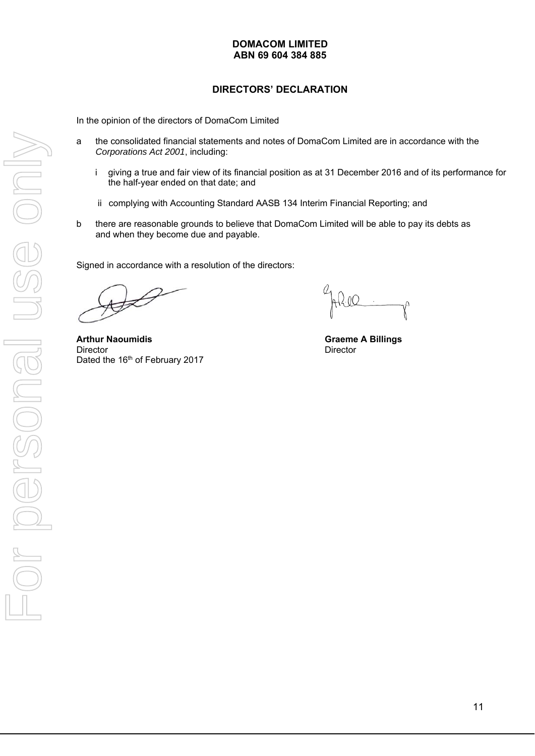# **DIRECTORS' DECLARATION**

In the opinion of the directors of DomaCom Limited

- a the consolidated financial statements and notes of DomaCom Limited are in accordance with the *Corporations Act 2001*, including:
	- i giving a true and fair view of its financial position as at 31 December 2016 and of its performance for the half-year ended on that date; and
	- ii complying with Accounting Standard AASB 134 Interim Financial Reporting; and
- b there are reasonable grounds to believe that DomaCom Limited will be able to pay its debts as and when they become due and payable.

Signed in accordance with a resolution of the directors:

Arthur Naoumidis **Arthur Naoumidis Alternative Craeme A Billings Graeme A Billings** Director **Director** Director Dated the 16<sup>th</sup> of February 2017

Ahill  $\gamma$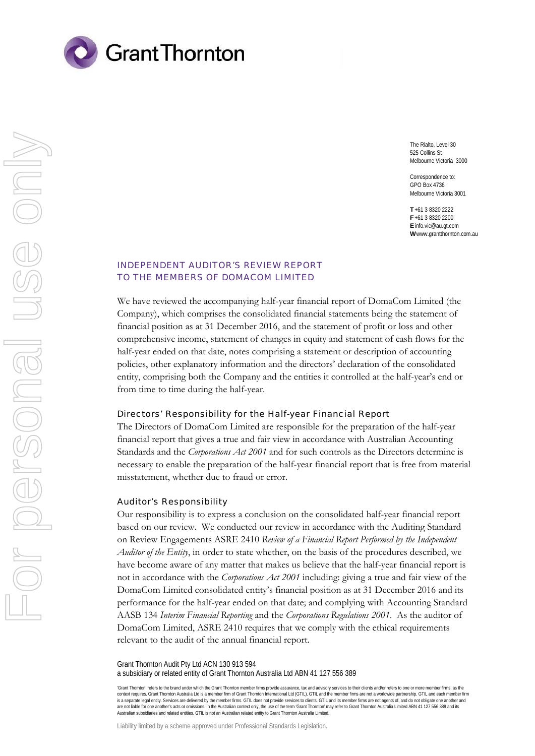

The Rialto, Level 30 525 Collins St Melbourne Victoria 3000

Correspondence to: GPO Box 4736 Melbourne Victoria 3001

**T** +61 3 8320 2222 **F** +61 3 8320 2200 **E** info.vic@au.gt.com **W** www.grantthornton.com.au

#### INDEPENDENT AUDITOR'S REVIEW REPORT TO THE MEMBERS OF DOMACOM LIMITED

We have reviewed the accompanying half-year financial report of DomaCom Limited (the Company), which comprises the consolidated financial statements being the statement of financial position as at 31 December 2016, and the statement of profit or loss and other comprehensive income, statement of changes in equity and statement of cash flows for the half-year ended on that date, notes comprising a statement or description of accounting policies, other explanatory information and the directors' declaration of the consolidated entity, comprising both the Company and the entities it controlled at the half-year's end or from time to time during the half-year.

#### Directors' Responsibility for the Half-year Financial Report

The Directors of DomaCom Limited are responsible for the preparation of the half-year financial report that gives a true and fair view in accordance with Australian Accounting Standards and the *Corporations Act 2001* and for such controls as the Directors determine is necessary to enable the preparation of the half-year financial report that is free from material misstatement, whether due to fraud or error.

#### Auditor's Responsibility

Our responsibility is to express a conclusion on the consolidated half-year financial report based on our review. We conducted our review in accordance with the Auditing Standard on Review Engagements ASRE 2410 *Review of a Financial Report Performed by the Independent Auditor of the Entity*, in order to state whether, on the basis of the procedures described, we have become aware of any matter that makes us believe that the half-year financial report is not in accordance with the *Corporations Act 2001* including: giving a true and fair view of the DomaCom Limited consolidated entity's financial position as at 31 December 2016 and its performance for the half-year ended on that date; and complying with Accounting Standard AASB 134 *Interim Financial Reporting* and the *Corporations Regulations 2001*. As the auditor of DomaCom Limited, ASRE 2410 requires that we comply with the ethical requirements relevant to the audit of the annual financial report.

Grant Thornton Audit Pty Ltd ACN 130 913 594 a subsidiary or related entity of Grant Thornton Australia Ltd ABN 41 127 556 389

'Grant Thornton' refers to the brand under which the Grant Thornton member firms provide assurance, tax and advisory services to their clients and/or refers to one or more member firms, as the context requires. Grant Thornton Australia Ltd is a member firm of Grant Thomton International Ltd (GTIL). GTIL and the member firms are not a worldwide partnership. GTIL and each member firm<br>is a separate legal entity. Se are not liable for one another's acts or omissions. In the Australian context only, the use of the term 'Grant Thornton' may refer to Grant Thornton Australia Limited ABN 41 127 556 389 and its Australian subsidiaries and related entities. GTIL is not an Australian related entity to Grant Thornton Australia Limited.

Liability limited by a scheme approved under Professional Standards Legislation.